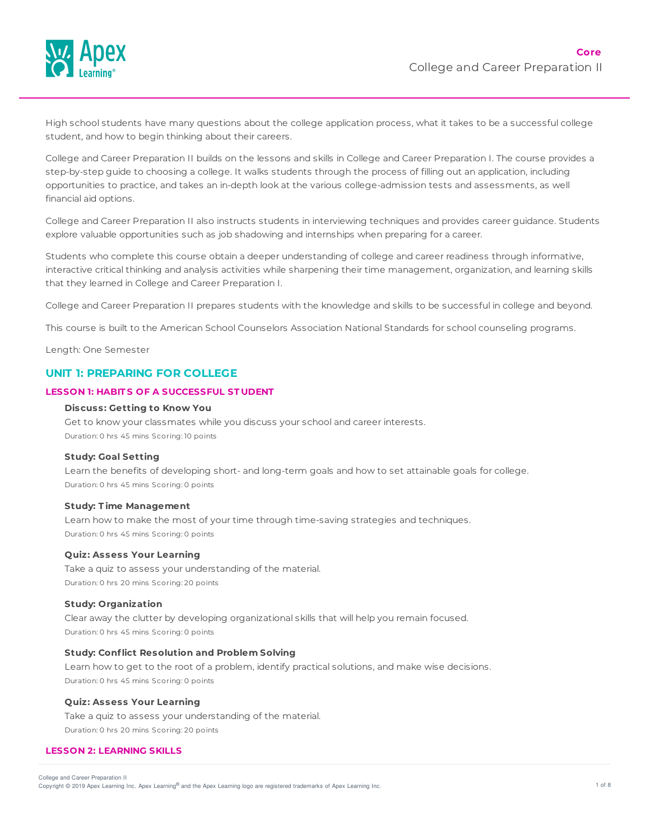

High school students have many questions about the college application process, what it takes to be a successful college student, and how to begin thinking about their careers.

College and Career Preparation II builds on the lessons and skills in College and Career Preparation I. The course provides a step-by-step guide to choosing a college. It walks students through the process of filling out an application, including opportunities to practice, and takes an in-depth look at the various college-admission tests and assessments, as well financial aid options.

College and Career Preparation II also instructs students in interviewing techniques and provides career guidance. Students explore valuable opportunities such as job shadowing and internships when preparing for a career.

Students who complete this course obtain a deeper understanding of college and career readiness through informative, interactive critical thinking and analysis activities while sharpening their time management, organization, and learning skills that they learned in College and Career Preparation I.

College and Career Preparation II prepares students with the knowledge and skills to be successful in college and beyond.

This course is built to the American School Counselors Association National Standards for school counseling programs.

Length: One Semester

# **UNIT 1: PREPARING FOR COLLEGE**

### **LESSON 1: HABIT S OF A SUCCESSFUL ST UDENT**

# **Discuss: Getting to Know You**

Get to know your classmates while you discuss your school and career interests. Duration: 0 hrs 45 mins Scoring: 10 points

### **Study: Goal Setting**

Learn the benefits of developing short- and long-term goals and how to set attainable goals for college. Duration: 0 hrs 45 mins Scoring: 0 points

#### **Study: T ime Management**

Learn how to make the most of your time through time-saving strategies and techniques. Duration: 0 hrs 45 mins Scoring: 0 points

## **Quiz: Assess Your Learning**

Take a quiz to assess your understanding of the material. Duration: 0 hrs 20 mins Scoring: 20 points

### **Study: Organization**

Clear away the clutter by developing organizational skills that will help you remain focused. Duration: 0 hrs 45 mins Scoring: 0 points

# **Study: Conflict Resolution and Problem Solving**

Learn how to get to the root of a problem, identify practical solutions, and make wise decisions. Duration: 0 hrs 45 mins Scoring: 0 points

### **Quiz: Assess Your Learning**

Take a quiz to assess your understanding of the material. Duration: 0 hrs 20 mins Scoring: 20 points

### **LESSON 2: LEARNING SKILLS**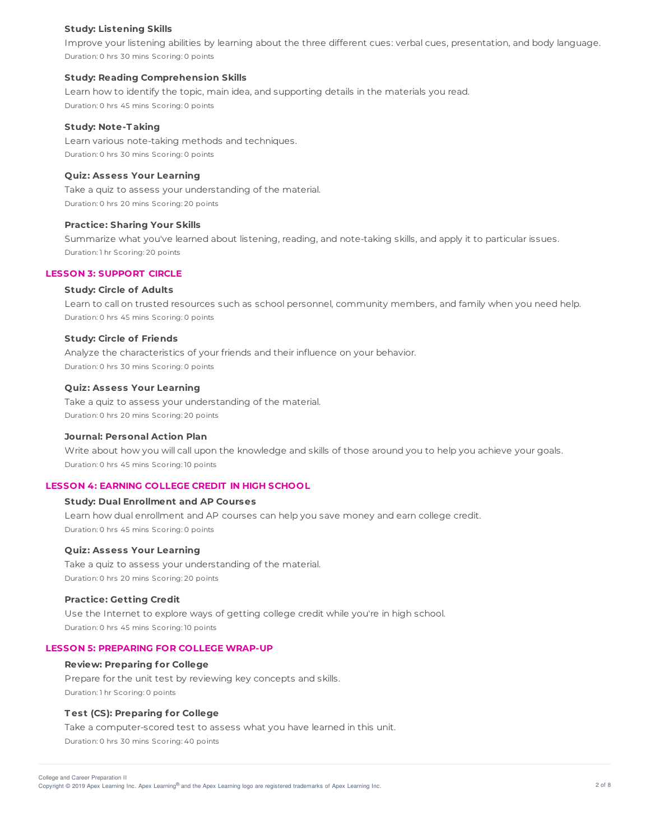### **Study: Listening Skills**

Improve your listening abilities by learning about the three different cues: verbal cues, presentation, and body language. Duration: 0 hrs 30 mins Scoring: 0 points

#### **Study: Reading Comprehension Skills**

Learn how to identify the topic, main idea, and supporting details in the materials you read. Duration: 0 hrs 45 mins Scoring: 0 points

#### **Study: Note-T aking**

Learn various note-taking methods and techniques. Duration: 0 hrs 30 mins Scoring: 0 points

## **Quiz: Assess Your Learning**

Take a quiz to assess your understanding of the material. Duration: 0 hrs 20 mins Scoring: 20 points

#### **Practice: Sharing Your Skills**

Summarize what you've learned about listening, reading, and note-taking skills, and apply it to particular issues. Duration: 1 hr Scoring: 20 points

## **LESSON 3: SUPPORT CIRCLE**

## **Study: Circle of Adults**

Learn to call on trusted resources such as school personnel, community members, and family when you need help. Duration: 0 hrs 45 mins Scoring: 0 points

### **Study: Circle of Friends**

Analyze the characteristics of your friends and their influence on your behavior. Duration: 0 hrs 30 mins Scoring: 0 points

#### **Quiz: Assess Your Learning**

Take a quiz to assess your understanding of the material. Duration: 0 hrs 20 mins Scoring: 20 points

#### **Journal: Personal Action Plan**

Write about how you will call upon the knowledge and skills of those around you to help you achieve your goals. Duration: 0 hrs 45 mins Scoring: 10 points

# **LESSON 4: EARNING COLLEGE CREDIT IN HIGH SCHOOL**

## **Study: Dual Enrollment and AP Courses**

Learn how dual enrollment and AP courses can help you save money and earn college credit. Duration: 0 hrs 45 mins Scoring: 0 points

#### **Quiz: Assess Your Learning**

Take a quiz to assess your understanding of the material. Duration: 0 hrs 20 mins Scoring: 20 points

## **Practice: Getting Credit**

Use the Internet to explore ways of getting college credit while you're in high school. Duration: 0 hrs 45 mins Scoring: 10 points

## **LESSON 5: PREPARING FOR COLLEGE WRAP-UP**

### **Review: Preparing for College**

Prepare for the unit test by reviewing key concepts and skills. Duration: 1 hr Scoring: 0 points

#### **T est (CS): Preparing for College**

Take a computer-scored test to assess what you have learned in this unit. Duration: 0 hrs 30 mins Scoring: 40 points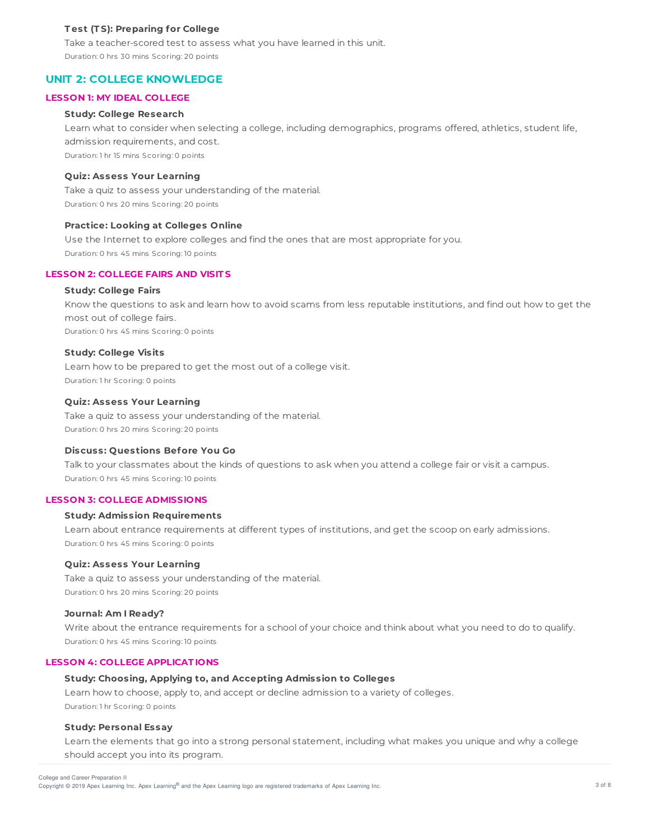## **T est (T S): Preparing for College**

Take a teacher-scored test to assess what you have learned in this unit. Duration: 0 hrs 30 mins Scoring: 20 points

# **UNIT 2: COLLEGE KNOWLEDGE**

### **LESSON 1: MY IDEAL COLLEGE**

### **Study: College Research**

Learn what to consider when selecting a college, including demographics, programs offered, athletics, student life, admission requirements, and cost. Duration: 1 hr 15 mins Scoring: 0 points

### **Quiz: Assess Your Learning**

Take a quiz to assess your understanding of the material. Duration: 0 hrs 20 mins Scoring: 20 points

#### **Practice: Looking at Colleges Online**

Use the Internet to explore colleges and find the ones that are most appropriate for you. Duration: 0 hrs 45 mins Scoring: 10 points

## **LESSON 2: COLLEGE FAIRS AND VISIT S**

#### **Study: College Fairs**

Know the questions to ask and learn how to avoid scams from less reputable institutions, and find out how to get the most out of college fairs. Duration: 0 hrs 45 mins Scoring: 0 points

#### **Study: College Visits**

Learn how to be prepared to get the most out of a college visit. Duration: 1 hr Scoring: 0 points

## **Quiz: Assess Your Learning**

Take a quiz to assess your understanding of the material. Duration: 0 hrs 20 mins Scoring: 20 points

## **Discuss: Questions Before You Go**

Talk to your classmates about the kinds of questions to ask when you attend a college fair or visit a campus. Duration: 0 hrs 45 mins Scoring: 10 points

### **LESSON 3: COLLEGE ADMISSIONS**

# **Study: Admission Requirements**

Learn about entrance requirements at different types of institutions, and get the scoop on early admissions. Duration: 0 hrs 45 mins Scoring: 0 points

### **Quiz: Assess Your Learning**

Take a quiz to assess your understanding of the material. Duration: 0 hrs 20 mins Scoring: 20 points

### **Journal: Am I Ready?**

Write about the entrance requirements for a school of your choice and think about what you need to do to qualify. Duration: 0 hrs 45 mins Scoring: 10 points

### **LESSON 4: COLLEGE APPLICAT IONS**

# **Study: Choosing, Applying to, and Accepting Admission to Colleges**

Learn how to choose, apply to, and accept or decline admission to a variety of colleges. Duration: 1 hr Scoring: 0 points

#### **Study: Personal Essay**

Learn the elements that go into a strong personal statement, including what makes you unique and why a college should accept you into its program.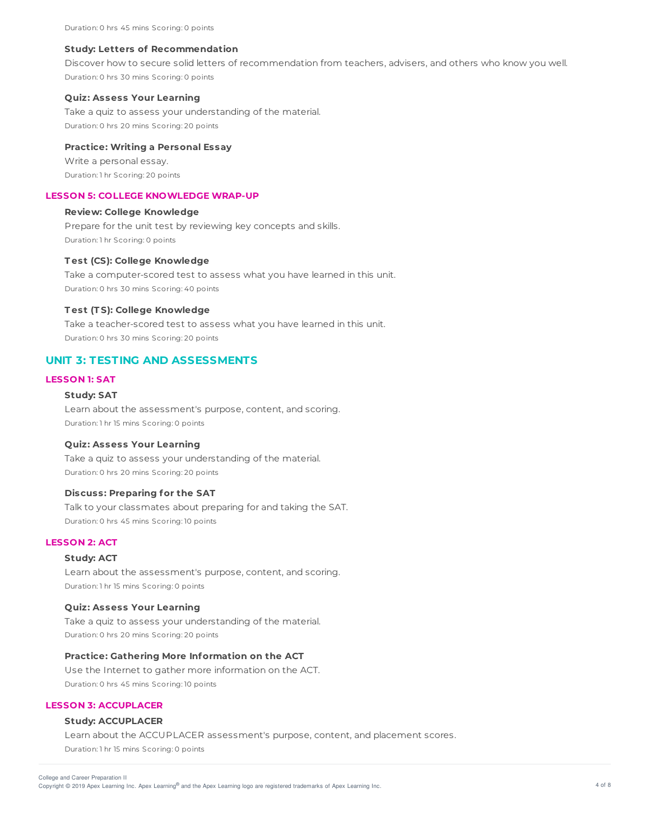#### **Study: Letters of Recommendation**

Discover how to secure solid letters of recommendation from teachers, advisers, and others who know you well. Duration: 0 hrs 30 mins Scoring: 0 points

### **Quiz: Assess Your Learning**

Take a quiz to assess your understanding of the material. Duration: 0 hrs 20 mins Scoring: 20 points

## **Practice: Writing a Personal Essay**

Write a personal essay. Duration: 1 hr Scoring: 20 points

### **LESSON 5: COLLEGE KNOWLEDGE WRAP-UP**

#### **Review: College Knowledge**

Prepare for the unit test by reviewing key concepts and skills. Duration: 1 hr Scoring: 0 points

### **T est (CS): College Knowledge**

Take a computer-scored test to assess what you have learned in this unit. Duration: 0 hrs 30 mins Scoring: 40 points

#### **T est (T S): College Knowledge**

Take a teacher-scored test to assess what you have learned in this unit. Duration: 0 hrs 30 mins Scoring: 20 points

# **UNIT 3: TESTING AND ASSESSMENTS**

# **LESSON 1: SAT**

## **Study: SAT**

Learn about the assessment's purpose, content, and scoring. Duration: 1 hr 15 mins Scoring: 0 points

#### **Quiz: Assess Your Learning**

Take a quiz to assess your understanding of the material. Duration: 0 hrs 20 mins Scoring: 20 points

## **Discuss: Preparing for the SAT**

Talk to your classmates about preparing for and taking the SAT. Duration: 0 hrs 45 mins Scoring: 10 points

# **LESSON 2: ACT**

### **Study: ACT**

Learn about the assessment's purpose, content, and scoring. Duration: 1 hr 15 mins Scoring: 0 points

### **Quiz: Assess Your Learning**

Take a quiz to assess your understanding of the material. Duration: 0 hrs 20 mins Scoring: 20 points

### **Practice: Gathering More Information on the ACT**

Use the Internet to gather more information on the ACT. Duration: 0 hrs 45 mins Scoring: 10 points

### **LESSON 3: ACCUPLACER**

# **Study: ACCUPLACER**

Learn about the ACCUPLACER assessment's purpose, content, and placement scores. Duration: 1 hr 15 mins Scoring: 0 points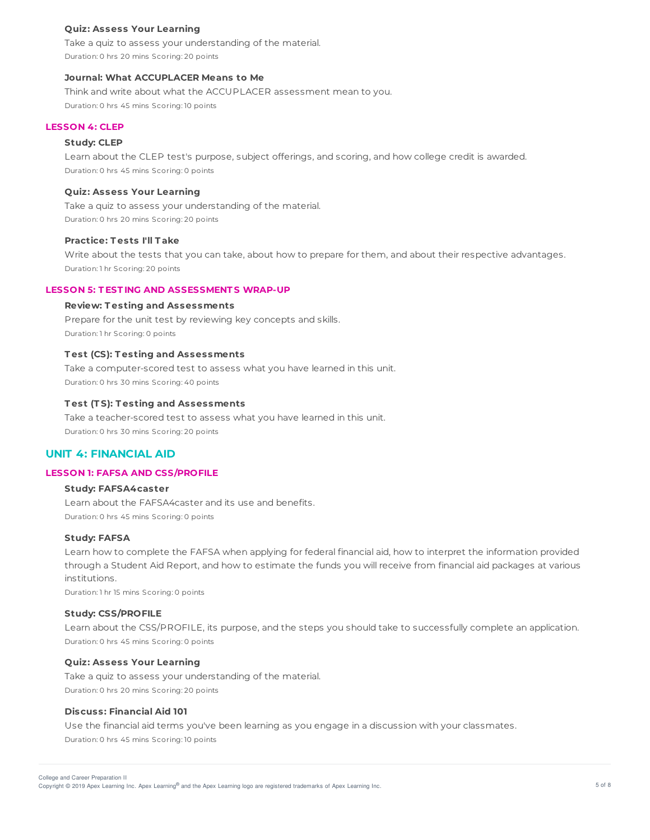### **Quiz: Assess Your Learning**

Take a quiz to assess your understanding of the material. Duration: 0 hrs 20 mins Scoring: 20 points

## **Journal: What ACCUPLACER Means to Me**

Think and write about what the ACCUPLACER assessment mean to you. Duration: 0 hrs 45 mins Scoring: 10 points

## **LESSON 4: CLEP**

#### **Study: CLEP**

Learn about the CLEP test's purpose, subject offerings, and scoring, and how college credit is awarded. Duration: 0 hrs 45 mins Scoring: 0 points

## **Quiz: Assess Your Learning**

Take a quiz to assess your understanding of the material. Duration: 0 hrs 20 mins Scoring: 20 points

#### **Practice: T ests I'll T ake**

Write about the tests that you can take, about how to prepare for them, and about their respective advantages. Duration: 1 hr Scoring: 20 points

### **LESSON 5: T EST ING AND ASSESSMENT S WRAP-UP**

## **Review: T esting and Assessments**

Prepare for the unit test by reviewing key concepts and skills. Duration: 1 hr Scoring: 0 points

## **T est (CS): T esting and Assessments**

Take a computer-scored test to assess what you have learned in this unit. Duration: 0 hrs 30 mins Scoring: 40 points

### **T est (T S): T esting and Assessments**

Take a teacher-scored test to assess what you have learned in this unit. Duration: 0 hrs 30 mins Scoring: 20 points

# **UNIT 4: FINANCIAL AID**

### **LESSON 1: FAFSA AND CSS/PROFILE**

# **Study: FAFSA4caster**

Learn about the FAFSA4caster and its use and benefits. Duration: 0 hrs 45 mins Scoring: 0 points

### **Study: FAFSA**

Learn how to complete the FAFSA when applying for federal financial aid, how to interpret the information provided through a Student Aid Report, and how to estimate the funds you will receive from financial aid packages at various institutions.

Duration: 1 hr 15 mins Scoring: 0 points

### **Study: CSS/PROFILE**

Learn about the CSS/PROFILE, its purpose, and the steps you should take to successfully complete an application. Duration: 0 hrs 45 mins Scoring: 0 points

### **Quiz: Assess Your Learning**

Take a quiz to assess your understanding of the material. Duration: 0 hrs 20 mins Scoring: 20 points

#### **Discuss: Financial Aid 101**

Use the financial aid terms you've been learning as you engage in a discussion with your classmates.

Duration: 0 hrs 45 mins Scoring: 10 points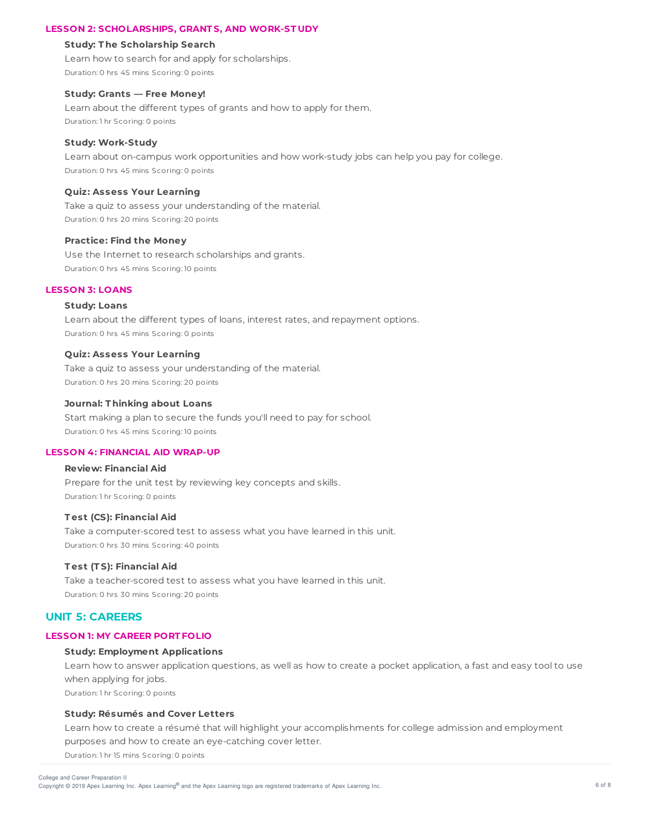## **LESSON 2: SCHOLARSHIPS, GRANT S, AND WORK-ST UDY**

#### **Study: T he Scholarship Search**

Learn how to search for and apply for scholarships. Duration: 0 hrs 45 mins Scoring: 0 points

### **Study: Grants — Free Money!**

Learn about the different types of grants and how to apply for them. Duration: 1 hr Scoring: 0 points

#### **Study: Work-Study**

Learn about on-campus work opportunities and how work-study jobs can help you pay for college. Duration: 0 hrs 45 mins Scoring: 0 points

## **Quiz: Assess Your Learning**

Take a quiz to assess your understanding of the material. Duration: 0 hrs 20 mins Scoring: 20 points

#### **Practice: Find the Money**

Use the Internet to research scholarships and grants. Duration: 0 hrs 45 mins Scoring: 10 points

## **LESSON 3: LOANS**

# **Study: Loans**

Learn about the different types of loans, interest rates, and repayment options. Duration: 0 hrs 45 mins Scoring: 0 points

## **Quiz: Assess Your Learning**

Take a quiz to assess your understanding of the material. Duration: 0 hrs 20 mins Scoring: 20 points

### **Journal: T hinking about Loans**

Start making a plan to secure the funds you'll need to pay for school. Duration: 0 hrs 45 mins Scoring: 10 points

#### **LESSON 4: FINANCIAL AID WRAP-UP**

### **Review: Financial Aid**

Prepare for the unit test by reviewing key concepts and skills. Duration: 1 hr Scoring: 0 points

## **T est (CS): Financial Aid**

Take a computer-scored test to assess what you have learned in this unit. Duration: 0 hrs 30 mins Scoring: 40 points

### **T est (T S): Financial Aid**

Take a teacher-scored test to assess what you have learned in this unit. Duration: 0 hrs 30 mins Scoring: 20 points

# **UNIT 5: CAREERS**

## **LESSON 1: MY CAREER PORT FOLIO**

#### **Study: Employment Applications**

Learn how to answer application questions, as well as how to create a pocket application, a fast and easy tool to use when applying for jobs. Duration: 1 hr Scoring: 0 points

## **Study: Résumés and Cover Letters**

Learn how to create a résumé that will highlight your accomplishments for college admission and employment purposes and how to create an eye-catching cover letter.

Duration: 1 hr 15 mins Scoring: 0 points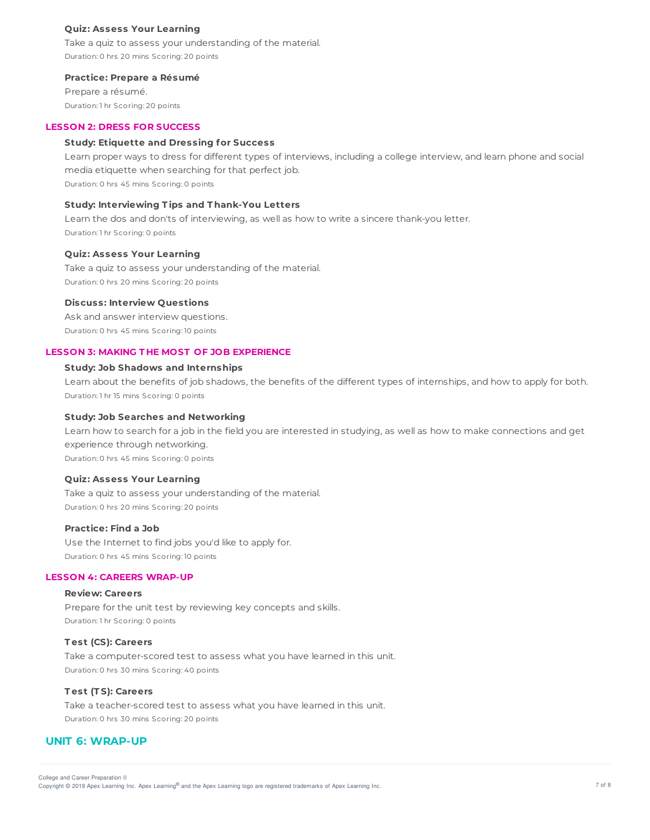### **Quiz: Assess Your Learning**

Take a quiz to assess your understanding of the material. Duration: 0 hrs 20 mins Scoring: 20 points

#### **Practice: Prepare a Résumé**

Prepare a résumé. Duration: 1 hr Scoring: 20 points

### **LESSON 2: DRESS FOR SUCCESS**

#### **Study: Etiquette and Dressing for Success**

Learn proper ways to dress for different types of interviews, including a college interview, and learn phone and social media etiquette when searching for that perfect job. Duration: 0 hrs 45 mins Scoring: 0 points

**Study: Interviewing T ips and T hank-You Letters**

Learn the dos and don'ts of interviewing, as well as how to write a sincere thank-you letter. Duration: 1 hr Scoring: 0 points

#### **Quiz: Assess Your Learning**

Take a quiz to assess your understanding of the material. Duration: 0 hrs 20 mins Scoring: 20 points

## **Discuss: Interview Questions**

Ask and answer interview questions. Duration: 0 hrs 45 mins Scoring: 10 points

## **LESSON 3: MAKING T HE MOST OF JOB EXPERIENCE**

# **Study: Job Shadows and Internships**

Learn about the benefits of job shadows, the benefits of the different types of internships, and how to apply for both. Duration: 1 hr 15 mins Scoring: 0 points

#### **Study: Job Searches and Networking**

Learn how to search for a job in the field you are interested in studying, as well as how to make connections and get experience through networking. Duration: 0 hrs 45 mins Scoring: 0 points

#### **Quiz: Assess Your Learning**

Take a quiz to assess your understanding of the material. Duration: 0 hrs 20 mins Scoring: 20 points

### **Practice: Find a Job**

Use the Internet to find jobs you'd like to apply for. Duration: 0 hrs 45 mins Scoring: 10 points

## **LESSON 4: CAREERS WRAP-UP**

#### **Review: Careers**

Prepare for the unit test by reviewing key concepts and skills. Duration: 1 hr Scoring: 0 points

# **T est (CS): Careers**

Take a computer-scored test to assess what you have learned in this unit. Duration: 0 hrs 30 mins Scoring: 40 points

#### **T est (T S): Careers**

Take a teacher-scored test to assess what you have learned in this unit. Duration: 0 hrs 30 mins Scoring: 20 points

# **UNIT 6: WRAP-UP**